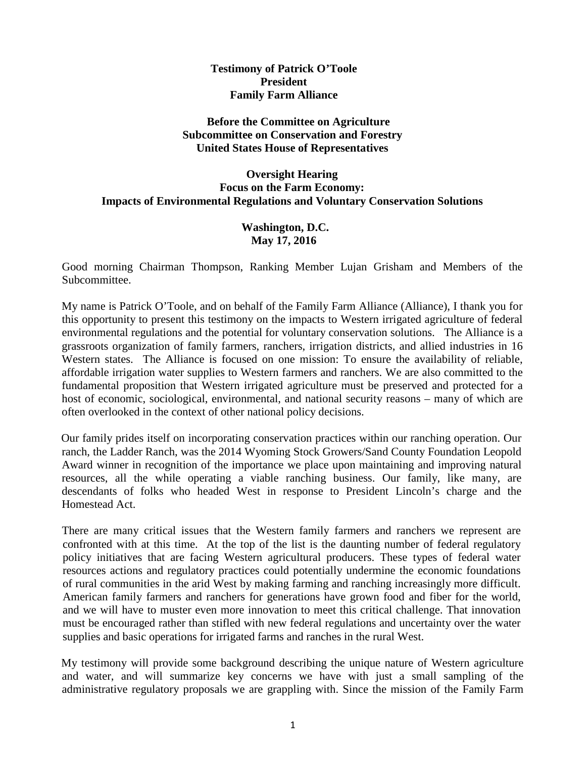#### **Testimony of Patrick O'Toole President Family Farm Alliance**

### **Before the Committee on Agriculture Subcommittee on Conservation and Forestry United States House of Representatives**

### **Oversight Hearing Focus on the Farm Economy: Impacts of Environmental Regulations and Voluntary Conservation Solutions**

#### **Washington, D.C. May 17, 2016**

Good morning Chairman Thompson, Ranking Member Lujan Grisham and Members of the Subcommittee.

My name is Patrick O'Toole, and on behalf of the Family Farm Alliance (Alliance), I thank you for this opportunity to present this testimony on the impacts to Western irrigated agriculture of federal environmental regulations and the potential for voluntary conservation solutions. The Alliance is a grassroots organization of family farmers, ranchers, irrigation districts, and allied industries in 16 Western states. The Alliance is focused on one mission: To ensure the availability of reliable, affordable irrigation water supplies to Western farmers and ranchers. We are also committed to the fundamental proposition that Western irrigated agriculture must be preserved and protected for a host of economic, sociological, environmental, and national security reasons – many of which are often overlooked in the context of other national policy decisions.

Our family prides itself on incorporating conservation practices within our ranching operation. Our ranch, the Ladder Ranch, was the 2014 Wyoming Stock Growers/Sand County Foundation Leopold Award winner in recognition of the importance we place upon maintaining and improving natural resources, all the while operating a viable ranching business. Our family, like many, are descendants of folks who headed West in response to President Lincoln's charge and the Homestead Act.

There are many critical issues that the Western family farmers and ranchers we represent are confronted with at this time. At the top of the list is the daunting number of federal regulatory policy initiatives that are facing Western agricultural producers. These types of federal water resources actions and regulatory practices could potentially undermine the economic foundations of rural communities in the arid West by making farming and ranching increasingly more difficult. American family farmers and ranchers for generations have grown food and fiber for the world, and we will have to muster even more innovation to meet this critical challenge. That innovation must be encouraged rather than stifled with new federal regulations and uncertainty over the water supplies and basic operations for irrigated farms and ranches in the rural West.

My testimony will provide some background describing the unique nature of Western agriculture and water, and will summarize key concerns we have with just a small sampling of the administrative regulatory proposals we are grappling with. Since the mission of the Family Farm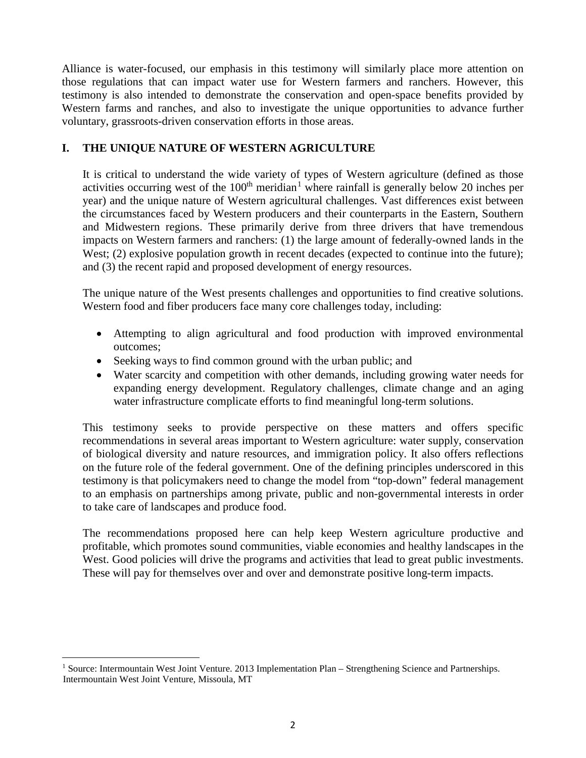Alliance is water-focused, our emphasis in this testimony will similarly place more attention on those regulations that can impact water use for Western farmers and ranchers. However, this testimony is also intended to demonstrate the conservation and open-space benefits provided by Western farms and ranches, and also to investigate the unique opportunities to advance further voluntary, grassroots-driven conservation efforts in those areas.

## **I. THE UNIQUE NATURE OF WESTERN AGRICULTURE**

It is critical to understand the wide variety of types of Western agriculture (defined as those activities occurring west of the  $100<sup>th</sup>$  $100<sup>th</sup>$  meridian<sup>1</sup> where rainfall is generally below 20 inches per year) and the unique nature of Western agricultural challenges. Vast differences exist between the circumstances faced by Western producers and their counterparts in the Eastern, Southern and Midwestern regions. These primarily derive from three drivers that have tremendous impacts on Western farmers and ranchers: (1) the large amount of federally-owned lands in the West; (2) explosive population growth in recent decades (expected to continue into the future); and (3) the recent rapid and proposed development of energy resources.

The unique nature of the West presents challenges and opportunities to find creative solutions. Western food and fiber producers face many core challenges today, including:

- Attempting to align agricultural and food production with improved environmental outcomes;
- Seeking ways to find common ground with the urban public; and
- Water scarcity and competition with other demands, including growing water needs for expanding energy development. Regulatory challenges, climate change and an aging water infrastructure complicate efforts to find meaningful long-term solutions.

This testimony seeks to provide perspective on these matters and offers specific recommendations in several areas important to Western agriculture: water supply, conservation of biological diversity and nature resources, and immigration policy. It also offers reflections on the future role of the federal government. One of the defining principles underscored in this testimony is that policymakers need to change the model from "top-down" federal management to an emphasis on partnerships among private, public and non-governmental interests in order to take care of landscapes and produce food.

The recommendations proposed here can help keep Western agriculture productive and profitable, which promotes sound communities, viable economies and healthy landscapes in the West. Good policies will drive the programs and activities that lead to great public investments. These will pay for themselves over and over and demonstrate positive long-term impacts.

<span id="page-1-0"></span><sup>&</sup>lt;sup>1</sup> Source: Intermountain West Joint Venture. 2013 Implementation Plan – Strengthening Science and Partnerships. Intermountain West Joint Venture, Missoula, MT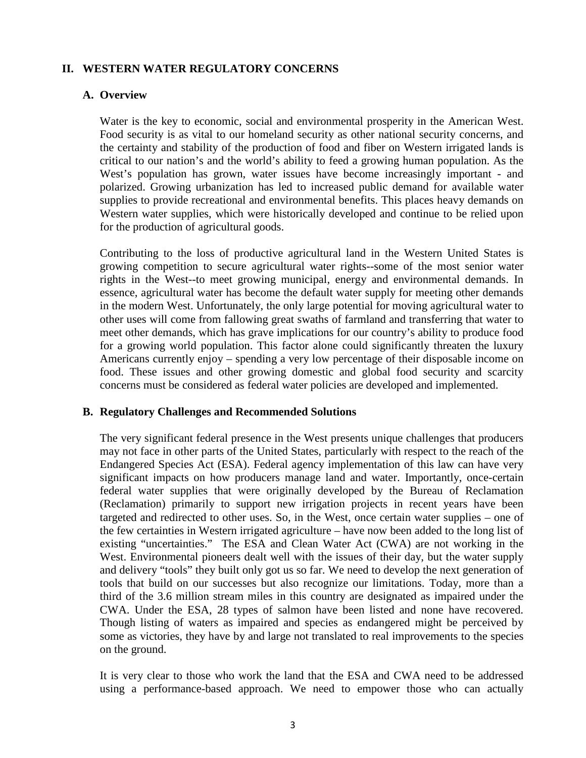## **II. WESTERN WATER REGULATORY CONCERNS**

#### **A. Overview**

Water is the key to economic, social and environmental prosperity in the American West. Food security is as vital to our homeland security as other national security concerns, and the certainty and stability of the production of food and fiber on Western irrigated lands is critical to our nation's and the world's ability to feed a growing human population. As the West's population has grown, water issues have become increasingly important - and polarized. Growing urbanization has led to increased public demand for available water supplies to provide recreational and environmental benefits. This places heavy demands on Western water supplies, which were historically developed and continue to be relied upon for the production of agricultural goods.

Contributing to the loss of productive agricultural land in the Western United States is growing competition to secure agricultural water rights--some of the most senior water rights in the West--to meet growing municipal, energy and environmental demands. In essence, agricultural water has become the default water supply for meeting other demands in the modern West. Unfortunately, the only large potential for moving agricultural water to other uses will come from fallowing great swaths of farmland and transferring that water to meet other demands, which has grave implications for our country's ability to produce food for a growing world population. This factor alone could significantly threaten the luxury Americans currently enjoy – spending a very low percentage of their disposable income on food. These issues and other growing domestic and global food security and scarcity concerns must be considered as federal water policies are developed and implemented.

#### **B. Regulatory Challenges and Recommended Solutions**

The very significant federal presence in the West presents unique challenges that producers may not face in other parts of the United States, particularly with respect to the reach of the Endangered Species Act (ESA). Federal agency implementation of this law can have very significant impacts on how producers manage land and water. Importantly, once-certain federal water supplies that were originally developed by the Bureau of Reclamation (Reclamation) primarily to support new irrigation projects in recent years have been targeted and redirected to other uses. So, in the West, once certain water supplies – one of the few certainties in Western irrigated agriculture – have now been added to the long list of existing "uncertainties." The ESA and Clean Water Act (CWA) are not working in the West. Environmental pioneers dealt well with the issues of their day, but the water supply and delivery "tools" they built only got us so far. We need to develop the next generation of tools that build on our successes but also recognize our limitations. Today, more than a third of the 3.6 million stream miles in this country are designated as impaired under the CWA. Under the ESA, 28 types of salmon have been listed and none have recovered. Though listing of waters as impaired and species as endangered might be perceived by some as victories, they have by and large not translated to real improvements to the species on the ground.

It is very clear to those who work the land that the ESA and CWA need to be addressed using a performance-based approach. We need to empower those who can actually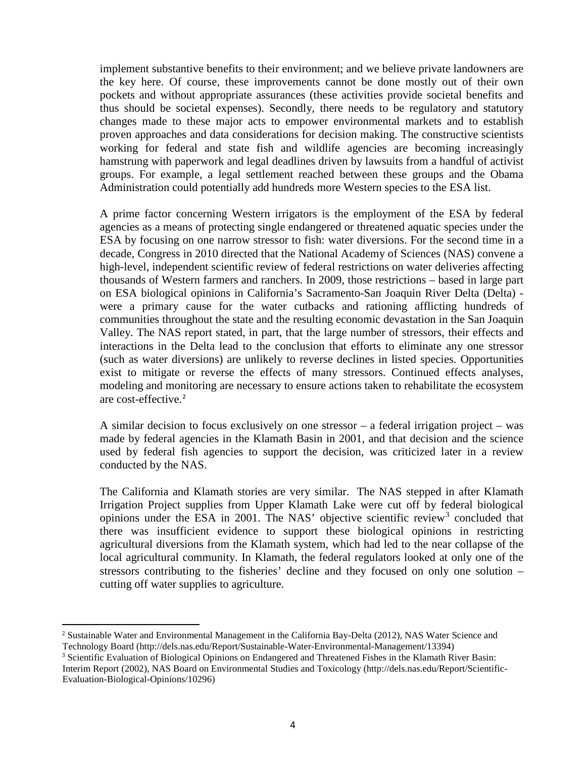implement substantive benefits to their environment; and we believe private landowners are the key here. Of course, these improvements cannot be done mostly out of their own pockets and without appropriate assurances (these activities provide societal benefits and thus should be societal expenses). Secondly, there needs to be regulatory and statutory changes made to these major acts to empower environmental markets and to establish proven approaches and data considerations for decision making. The constructive scientists working for federal and state fish and wildlife agencies are becoming increasingly hamstrung with paperwork and legal deadlines driven by lawsuits from a handful of activist groups. For example, a legal settlement reached between these groups and the Obama Administration could potentially add hundreds more Western species to the ESA list.

A prime factor concerning Western irrigators is the employment of the ESA by federal agencies as a means of protecting single endangered or threatened aquatic species under the ESA by focusing on one narrow stressor to fish: water diversions. For the second time in a decade, Congress in 2010 directed that the National Academy of Sciences (NAS) convene a high-level, independent scientific review of federal restrictions on water deliveries affecting thousands of Western farmers and ranchers. In 2009, those restrictions – based in large part on ESA biological opinions in California's Sacramento-San Joaquin River Delta (Delta) were a primary cause for the water cutbacks and rationing afflicting hundreds of communities throughout the state and the resulting economic devastation in the San Joaquin Valley. The NAS report stated, in part, that the large number of stressors, their effects and interactions in the Delta lead to the conclusion that efforts to eliminate any one stressor (such as water diversions) are unlikely to reverse declines in listed species. Opportunities exist to mitigate or reverse the effects of many stressors. Continued effects analyses, modeling and monitoring are necessary to ensure actions taken to rehabilitate the ecosystem are cost-effective.[2](#page-3-0)

A similar decision to focus exclusively on one stressor – a federal irrigation project – was made by federal agencies in the Klamath Basin in 2001, and that decision and the science used by federal fish agencies to support the decision, was criticized later in a review conducted by the NAS.

The California and Klamath stories are very similar. The NAS stepped in after Klamath Irrigation Project supplies from Upper Klamath Lake were cut off by federal biological opinions under the ESA in 2001. The NAS' objective scientific review<sup>[3](#page-3-1)</sup> concluded that there was insufficient evidence to support these biological opinions in restricting agricultural diversions from the Klamath system, which had led to the near collapse of the local agricultural community. In Klamath, the federal regulators looked at only one of the stressors contributing to the fisheries' decline and they focused on only one solution – cutting off water supplies to agriculture.

<span id="page-3-0"></span><sup>&</sup>lt;sup>2</sup> Sustainable Water and Environmental Management in the California Bay-Delta (2012), NAS Water Science and Technology Board (http://dels.nas.edu/Report/Sustainable-Water-Environmental-Management/13394)

<span id="page-3-1"></span><sup>&</sup>lt;sup>3</sup> Scientific Evaluation of Biological Opinions on Endangered and Threatened Fishes in the Klamath River Basin: Interim Report (2002), NAS Board on Environmental Studies and Toxicology (http://dels.nas.edu/Report/Scientific-Evaluation-Biological-Opinions/10296)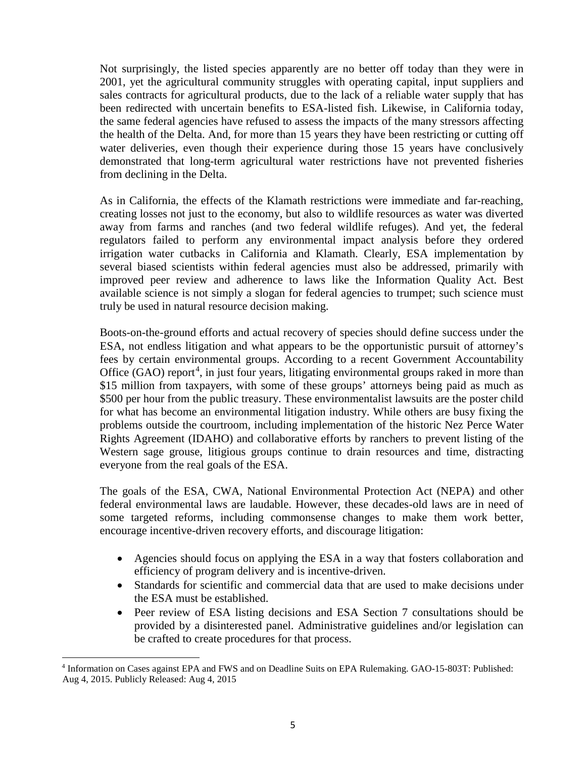Not surprisingly, the listed species apparently are no better off today than they were in 2001, yet the agricultural community struggles with operating capital, input suppliers and sales contracts for agricultural products, due to the lack of a reliable water supply that has been redirected with uncertain benefits to ESA-listed fish. Likewise, in California today, the same federal agencies have refused to assess the impacts of the many stressors affecting the health of the Delta. And, for more than 15 years they have been restricting or cutting off water deliveries, even though their experience during those 15 years have conclusively demonstrated that long-term agricultural water restrictions have not prevented fisheries from declining in the Delta.

As in California, the effects of the Klamath restrictions were immediate and far-reaching, creating losses not just to the economy, but also to wildlife resources as water was diverted away from farms and ranches (and two federal wildlife refuges). And yet, the federal regulators failed to perform any environmental impact analysis before they ordered irrigation water cutbacks in California and Klamath. Clearly, ESA implementation by several biased scientists within federal agencies must also be addressed, primarily with improved peer review and adherence to laws like the Information Quality Act. Best available science is not simply a slogan for federal agencies to trumpet; such science must truly be used in natural resource decision making.

Boots-on-the-ground efforts and actual recovery of species should define success under the ESA, not endless litigation and what appears to be the opportunistic pursuit of attorney's fees by certain environmental groups. According to a recent Government Accountability Office (GAO) report<sup>[4](#page-4-0)</sup>, in just four years, litigating environmental groups raked in more than \$15 million from taxpayers, with some of these groups' attorneys being paid as much as \$500 per hour from the public treasury. These environmentalist lawsuits are the poster child for what has become an environmental litigation industry. While others are busy fixing the problems outside the courtroom, including implementation of the historic Nez Perce Water Rights Agreement (IDAHO) and collaborative efforts by ranchers to prevent listing of the Western sage grouse, litigious groups continue to drain resources and time, distracting everyone from the real goals of the ESA.

The goals of the ESA, CWA, National Environmental Protection Act (NEPA) and other federal environmental laws are laudable. However, these decades-old laws are in need of some targeted reforms, including commonsense changes to make them work better, encourage incentive-driven recovery efforts, and discourage litigation:

- Agencies should focus on applying the ESA in a way that fosters collaboration and efficiency of program delivery and is incentive-driven.
- Standards for scientific and commercial data that are used to make decisions under the ESA must be established.
- Peer review of ESA listing decisions and ESA Section 7 consultations should be provided by a disinterested panel. Administrative guidelines and/or legislation can be crafted to create procedures for that process.

<span id="page-4-0"></span><sup>4</sup> Information on Cases against EPA and FWS and on Deadline Suits on EPA Rulemaking. GAO-15-803T: Published: Aug 4, 2015. Publicly Released: Aug 4, 2015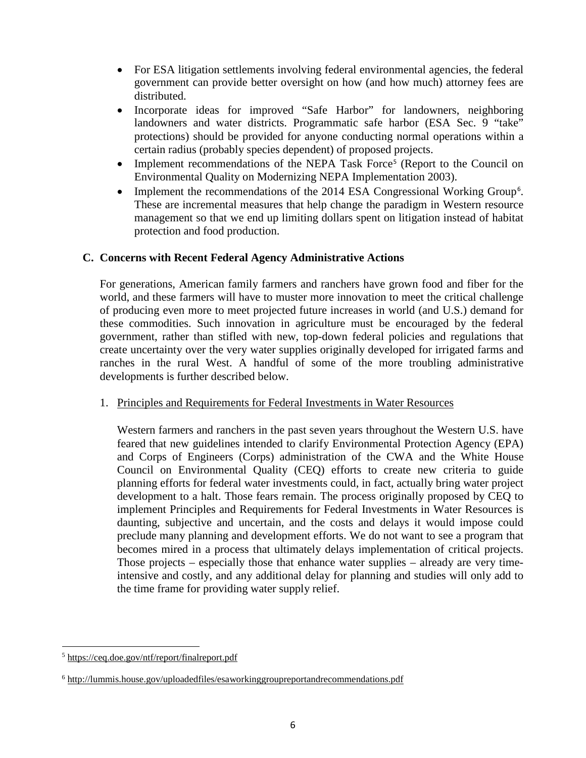- For ESA litigation settlements involving federal environmental agencies, the federal government can provide better oversight on how (and how much) attorney fees are distributed.
- Incorporate ideas for improved "Safe Harbor" for landowners, neighboring landowners and water districts. Programmatic safe harbor (ESA Sec. 9 "take" protections) should be provided for anyone conducting normal operations within a certain radius (probably species dependent) of proposed projects.
- Implement recommendations of the NEPA Task Force<sup>[5](#page-5-0)</sup> (Report to the Council on Environmental Quality on Modernizing NEPA Implementation 2003).
- Implement the recommendations of the 2014 ESA Congressional Working Group<sup>[6](#page-5-1)</sup>. These are incremental measures that help change the paradigm in Western resource management so that we end up limiting dollars spent on litigation instead of habitat protection and food production.

## **C. Concerns with Recent Federal Agency Administrative Actions**

For generations, American family farmers and ranchers have grown food and fiber for the world, and these farmers will have to muster more innovation to meet the critical challenge of producing even more to meet projected future increases in world (and U.S.) demand for these commodities. Such innovation in agriculture must be encouraged by the federal government, rather than stifled with new, top-down federal policies and regulations that create uncertainty over the very water supplies originally developed for irrigated farms and ranches in the rural West. A handful of some of the more troubling administrative developments is further described below.

## 1. Principles and Requirements for Federal Investments in Water Resources

Western farmers and ranchers in the past seven years throughout the Western U.S. have feared that new guidelines intended to clarify Environmental Protection Agency (EPA) and Corps of Engineers (Corps) administration of the CWA and the White House Council on Environmental Quality (CEQ) efforts to create new criteria to guide planning efforts for federal water investments could, in fact, actually bring water project development to a halt. Those fears remain. The process originally proposed by CEQ to implement Principles and Requirements for Federal Investments in Water Resources is daunting, subjective and uncertain, and the costs and delays it would impose could preclude many planning and development efforts. We do not want to see a program that becomes mired in a process that ultimately delays implementation of critical projects. Those projects – especially those that enhance water supplies – already are very timeintensive and costly, and any additional delay for planning and studies will only add to the time frame for providing water supply relief.

<span id="page-5-0"></span> $\overline{a}$ <sup>5</sup> <https://ceq.doe.gov/ntf/report/finalreport.pdf>

<span id="page-5-1"></span><sup>6</sup> <http://lummis.house.gov/uploadedfiles/esaworkinggroupreportandrecommendations.pdf>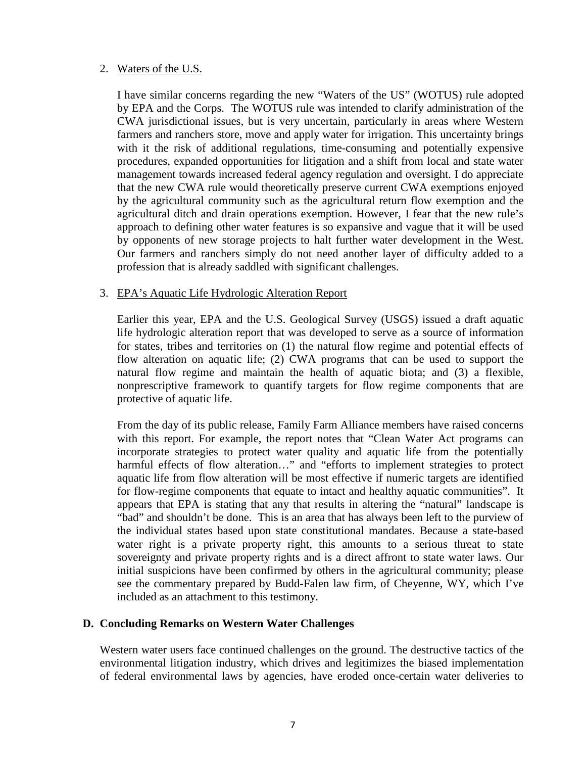### 2. Waters of the U.S.

I have similar concerns regarding the new "Waters of the US" (WOTUS) rule adopted by EPA and the Corps. The WOTUS rule was intended to clarify administration of the CWA jurisdictional issues, but is very uncertain, particularly in areas where Western farmers and ranchers store, move and apply water for irrigation. This uncertainty brings with it the risk of additional regulations, time-consuming and potentially expensive procedures, expanded opportunities for litigation and a shift from local and state water management towards increased federal agency regulation and oversight. I do appreciate that the new CWA rule would theoretically preserve current CWA exemptions enjoyed by the agricultural community such as the agricultural return flow exemption and the agricultural ditch and drain operations exemption. However, I fear that the new rule's approach to defining other water features is so expansive and vague that it will be used by opponents of new storage projects to halt further water development in the West. Our farmers and ranchers simply do not need another layer of difficulty added to a profession that is already saddled with significant challenges.

### 3. EPA's Aquatic Life Hydrologic Alteration Report

Earlier this year, EPA and the U.S. Geological Survey (USGS) issued a draft aquatic life hydrologic alteration report that was developed to serve as a source of information for states, tribes and territories on (1) the natural flow regime and potential effects of flow alteration on aquatic life; (2) CWA programs that can be used to support the natural flow regime and maintain the health of aquatic biota; and (3) a flexible, nonprescriptive framework to quantify targets for flow regime components that are protective of aquatic life.

From the day of its public release, Family Farm Alliance members have raised concerns with this report. For example, the report notes that "Clean Water Act programs can incorporate strategies to protect water quality and aquatic life from the potentially harmful effects of flow alteration..." and "efforts to implement strategies to protect aquatic life from flow alteration will be most effective if numeric targets are identified for flow-regime components that equate to intact and healthy aquatic communities". It appears that EPA is stating that any that results in altering the "natural" landscape is "bad" and shouldn't be done. This is an area that has always been left to the purview of the individual states based upon state constitutional mandates. Because a state-based water right is a private property right, this amounts to a serious threat to state sovereignty and private property rights and is a direct affront to state water laws. Our initial suspicions have been confirmed by others in the agricultural community; please see the commentary prepared by Budd-Falen law firm, of Cheyenne, WY, which I've included as an attachment to this testimony.

## **D. Concluding Remarks on Western Water Challenges**

Western water users face continued challenges on the ground. The destructive tactics of the environmental litigation industry, which drives and legitimizes the biased implementation of federal environmental laws by agencies, have eroded once-certain water deliveries to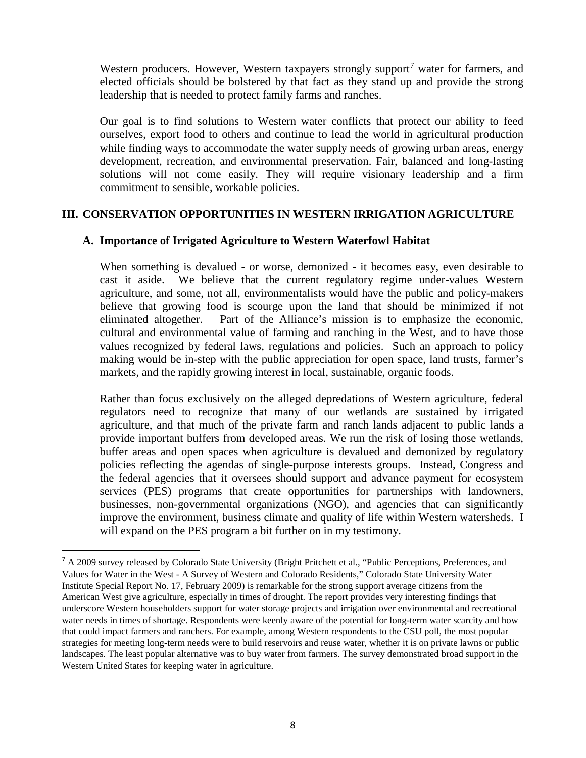Western producers. However, Western taxpayers strongly support<sup>[7](#page-7-0)</sup> water for farmers, and elected officials should be bolstered by that fact as they stand up and provide the strong leadership that is needed to protect family farms and ranches.

Our goal is to find solutions to Western water conflicts that protect our ability to feed ourselves, export food to others and continue to lead the world in agricultural production while finding ways to accommodate the water supply needs of growing urban areas, energy development, recreation, and environmental preservation. Fair, balanced and long-lasting solutions will not come easily. They will require visionary leadership and a firm commitment to sensible, workable policies.

### **III. CONSERVATION OPPORTUNITIES IN WESTERN IRRIGATION AGRICULTURE**

#### **A. Importance of Irrigated Agriculture to Western Waterfowl Habitat**

When something is devalued - or worse, demonized - it becomes easy, even desirable to cast it aside. We believe that the current regulatory regime under-values Western agriculture, and some, not all, environmentalists would have the public and policy-makers believe that growing food is scourge upon the land that should be minimized if not eliminated altogether. Part of the Alliance's mission is to emphasize the economic, cultural and environmental value of farming and ranching in the West, and to have those values recognized by federal laws, regulations and policies. Such an approach to policy making would be in-step with the public appreciation for open space, land trusts, farmer's markets, and the rapidly growing interest in local, sustainable, organic foods.

Rather than focus exclusively on the alleged depredations of Western agriculture, federal regulators need to recognize that many of our wetlands are sustained by irrigated agriculture, and that much of the private farm and ranch lands adjacent to public lands a provide important buffers from developed areas. We run the risk of losing those wetlands, buffer areas and open spaces when agriculture is devalued and demonized by regulatory policies reflecting the agendas of single-purpose interests groups. Instead, Congress and the federal agencies that it oversees should support and advance payment for ecosystem services (PES) programs that create opportunities for partnerships with landowners, businesses, non-governmental organizations (NGO), and agencies that can significantly improve the environment, business climate and quality of life within Western watersheds. I will expand on the PES program a bit further on in my testimony.

<span id="page-7-0"></span><sup>&</sup>lt;sup>7</sup> A 2009 survey released by Colorado State University (Bright Pritchett et al., "Public Perceptions, Preferences, and Values for Water in the West - A Survey of Western and Colorado Residents," Colorado State University Water Institute Special Report No. 17, February 2009) is remarkable for the strong support average citizens from the American West give agriculture, especially in times of drought. The report provides very interesting findings that underscore Western householders support for water storage projects and irrigation over environmental and recreational water needs in times of shortage. Respondents were keenly aware of the potential for long-term water scarcity and how that could impact farmers and ranchers. For example, among Western respondents to the CSU poll, the most popular strategies for meeting long-term needs were to build reservoirs and reuse water, whether it is on private lawns or public landscapes. The least popular alternative was to buy water from farmers. The survey demonstrated broad support in the Western United States for keeping water in agriculture.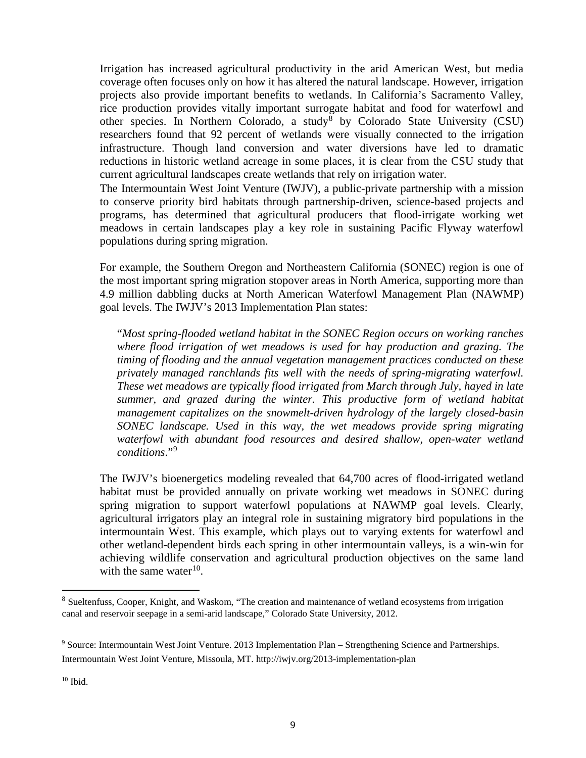Irrigation has increased agricultural productivity in the arid American West, but media coverage often focuses only on how it has altered the natural landscape. However, irrigation projects also provide important benefits to wetlands. In California's Sacramento Valley, rice production provides vitally important surrogate habitat and food for waterfowl and other species. In Northern Colorado, a study by Colorado State University (CSU) researchers found that 92 percent of wetlands were visually connected to the irrigation infrastructure. Though land conversion and water diversions have led to dramatic reductions in historic wetland acreage in some places, it is clear from the CSU study that current agricultural landscapes create wetlands that rely on irrigation water.

The Intermountain West Joint Venture (IWJV), a public-private partnership with a mission to conserve priority bird habitats through partnership-driven, science-based projects and programs, has determined that agricultural producers that flood-irrigate working wet meadows in certain landscapes play a key role in sustaining Pacific Flyway waterfowl populations during spring migration.

For example, the Southern Oregon and Northeastern California (SONEC) region is one of the most important spring migration stopover areas in North America, supporting more than 4.9 million dabbling ducks at North American Waterfowl Management Plan (NAWMP) goal levels. The IWJV's 2013 Implementation Plan states:

"*Most spring-flooded wetland habitat in the SONEC Region occurs on working ranches where flood irrigation of wet meadows is used for hay production and grazing. The timing of flooding and the annual vegetation management practices conducted on these privately managed ranchlands fits well with the needs of spring-migrating waterfowl. These wet meadows are typically flood irrigated from March through July, hayed in late summer, and grazed during the winter. This productive form of wetland habitat management capitalizes on the snowmelt-driven hydrology of the largely closed-basin SONEC landscape. Used in this way, the wet meadows provide spring migrating waterfowl with abundant food resources and desired shallow, open-water wetland conditions*."[9](#page-8-1)

The IWJV's bioenergetics modeling revealed that 64,700 acres of flood-irrigated wetland habitat must be provided annually on private working wet meadows in SONEC during spring migration to support waterfowl populations at NAWMP goal levels. Clearly, agricultural irrigators play an integral role in sustaining migratory bird populations in the intermountain West. This example, which plays out to varying extents for waterfowl and other wetland-dependent birds each spring in other intermountain valleys, is a win-win for achieving wildlife conservation and agricultural production objectives on the same land with the same water $10$ .

<span id="page-8-2"></span> $10$  Ibid.

<span id="page-8-0"></span><sup>&</sup>lt;sup>8</sup> Sueltenfuss, Cooper, Knight, and Waskom, "The creation and maintenance of wetland ecosystems from irrigation canal and reservoir seepage in a semi-arid landscape," Colorado State University, 2012.

<span id="page-8-1"></span><sup>9</sup> Source: Intermountain West Joint Venture. 2013 Implementation Plan – Strengthening Science and Partnerships. Intermountain West Joint Venture, Missoula, MT. http://iwjv.org/2013-implementation-plan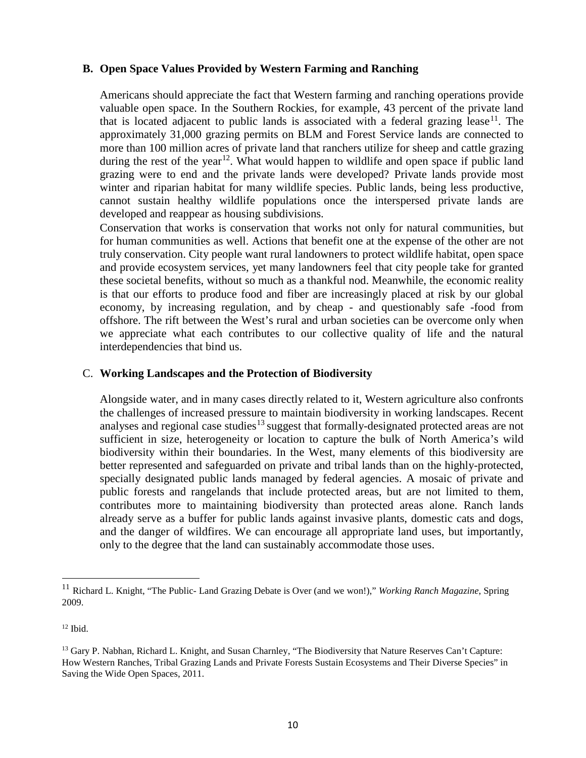### **B. Open Space Values Provided by Western Farming and Ranching**

Americans should appreciate the fact that Western farming and ranching operations provide valuable open space. In the Southern Rockies, for example, 43 percent of the private land that is located adjacent to public lands is associated with a federal grazing lease<sup>11</sup>. The approximately 31,000 grazing permits on BLM and Forest Service lands are connected to more than 100 million acres of private land that ranchers utilize for sheep and cattle grazing during the rest of the year<sup>[12](#page-9-1)</sup>. What would happen to wildlife and open space if public land grazing were to end and the private lands were developed? Private lands provide most winter and riparian habitat for many wildlife species. Public lands, being less productive, cannot sustain healthy wildlife populations once the interspersed private lands are developed and reappear as housing subdivisions.

Conservation that works is conservation that works not only for natural communities, but for human communities as well. Actions that benefit one at the expense of the other are not truly conservation. City people want rural landowners to protect wildlife habitat, open space and provide ecosystem services, yet many landowners feel that city people take for granted these societal benefits, without so much as a thankful nod. Meanwhile, the economic reality is that our efforts to produce food and fiber are increasingly placed at risk by our global economy, by increasing regulation, and by cheap - and questionably safe -food from offshore. The rift between the West's rural and urban societies can be overcome only when we appreciate what each contributes to our collective quality of life and the natural interdependencies that bind us.

#### C. **Working Landscapes and the Protection of Biodiversity**

Alongside water, and in many cases directly related to it, Western agriculture also confronts the challenges of increased pressure to maintain biodiversity in working landscapes. Recent analyses and regional case studies<sup>[13](#page-9-2)</sup> suggest that formally-designated protected areas are not sufficient in size, heterogeneity or location to capture the bulk of North America's wild biodiversity within their boundaries. In the West, many elements of this biodiversity are better represented and safeguarded on private and tribal lands than on the highly-protected, specially designated public lands managed by federal agencies. A mosaic of private and public forests and rangelands that include protected areas, but are not limited to them, contributes more to maintaining biodiversity than protected areas alone. Ranch lands already serve as a buffer for public lands against invasive plants, domestic cats and dogs, and the danger of wildfires. We can encourage all appropriate land uses, but importantly, only to the degree that the land can sustainably accommodate those uses.

<span id="page-9-1"></span><sup>12</sup> Ibid.

<span id="page-9-0"></span><sup>11</sup> Richard L. Knight, "The Public- Land Grazing Debate is Over (and we won!)," *Working Ranch Magazine*, Spring 2009.

<span id="page-9-2"></span><sup>&</sup>lt;sup>13</sup> Gary P. Nabhan, Richard L. Knight, and Susan Charnley, "The Biodiversity that Nature Reserves Can't Capture: How Western Ranches, Tribal Grazing Lands and Private Forests Sustain Ecosystems and Their Diverse Species" in Saving the Wide Open Spaces, 2011.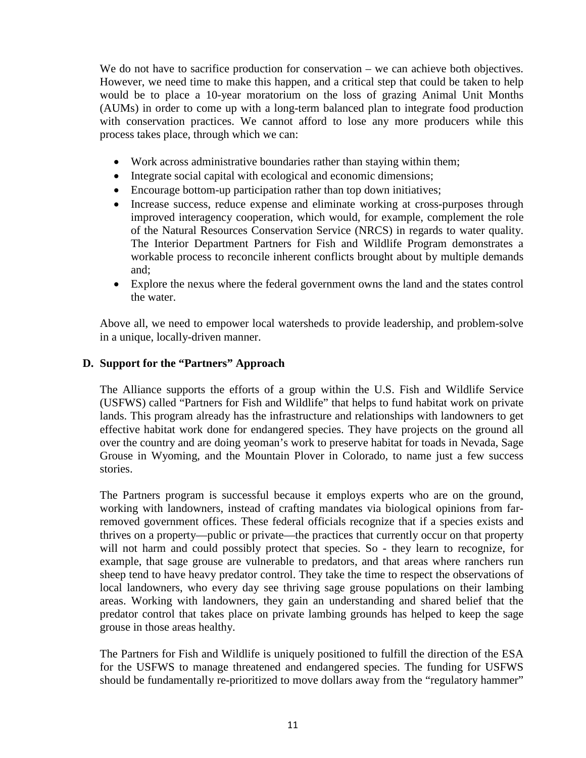We do not have to sacrifice production for conservation – we can achieve both objectives. However, we need time to make this happen, and a critical step that could be taken to help would be to place a 10-year moratorium on the loss of grazing Animal Unit Months (AUMs) in order to come up with a long-term balanced plan to integrate food production with conservation practices. We cannot afford to lose any more producers while this process takes place, through which we can:

- Work across administrative boundaries rather than staying within them;
- Integrate social capital with ecological and economic dimensions;
- Encourage bottom-up participation rather than top down initiatives;
- Increase success, reduce expense and eliminate working at cross-purposes through improved interagency cooperation, which would, for example, complement the role of the Natural Resources Conservation Service (NRCS) in regards to water quality. The Interior Department Partners for Fish and Wildlife Program demonstrates a workable process to reconcile inherent conflicts brought about by multiple demands and;
- Explore the nexus where the federal government owns the land and the states control the water.

Above all, we need to empower local watersheds to provide leadership, and problem-solve in a unique, locally-driven manner.

# **D. Support for the "Partners" Approach**

The Alliance supports the efforts of a group within the U.S. Fish and Wildlife Service (USFWS) called "Partners for Fish and Wildlife" that helps to fund habitat work on private lands. This program already has the infrastructure and relationships with landowners to get effective habitat work done for endangered species. They have projects on the ground all over the country and are doing yeoman's work to preserve habitat for toads in Nevada, Sage Grouse in Wyoming, and the Mountain Plover in Colorado, to name just a few success stories.

The Partners program is successful because it employs experts who are on the ground, working with landowners, instead of crafting mandates via biological opinions from farremoved government offices. These federal officials recognize that if a species exists and thrives on a property—public or private—the practices that currently occur on that property will not harm and could possibly protect that species. So - they learn to recognize, for example, that sage grouse are vulnerable to predators, and that areas where ranchers run sheep tend to have heavy predator control. They take the time to respect the observations of local landowners, who every day see thriving sage grouse populations on their lambing areas. Working with landowners, they gain an understanding and shared belief that the predator control that takes place on private lambing grounds has helped to keep the sage grouse in those areas healthy.

The Partners for Fish and Wildlife is uniquely positioned to fulfill the direction of the ESA for the USFWS to manage threatened and endangered species. The funding for USFWS should be fundamentally re-prioritized to move dollars away from the "regulatory hammer"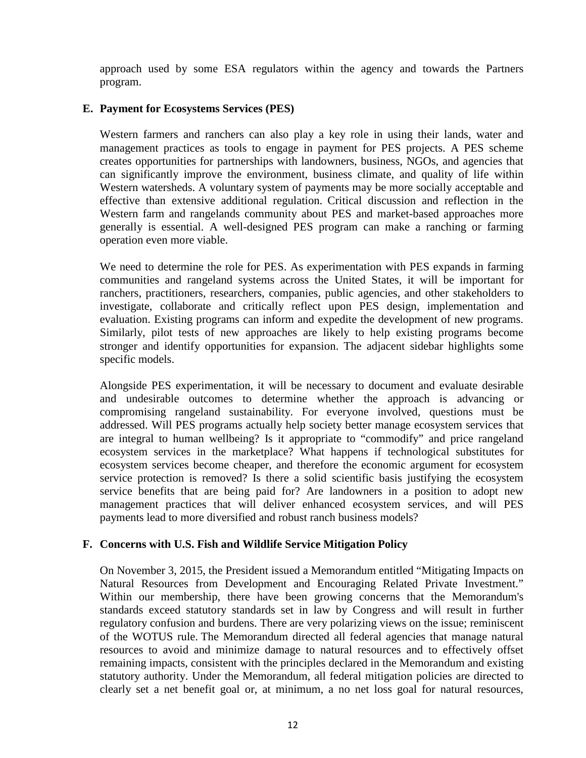approach used by some ESA regulators within the agency and towards the Partners program.

## **E. Payment for Ecosystems Services (PES)**

Western farmers and ranchers can also play a key role in using their lands, water and management practices as tools to engage in payment for PES projects. A PES scheme creates opportunities for partnerships with landowners, business, NGOs, and agencies that can significantly improve the environment, business climate, and quality of life within Western watersheds. A voluntary system of payments may be more socially acceptable and effective than extensive additional regulation. Critical discussion and reflection in the Western farm and rangelands community about PES and market-based approaches more generally is essential. A well-designed PES program can make a ranching or farming operation even more viable.

We need to determine the role for PES. As experimentation with PES expands in farming communities and rangeland systems across the United States, it will be important for ranchers, practitioners, researchers, companies, public agencies, and other stakeholders to investigate, collaborate and critically reflect upon PES design, implementation and evaluation. Existing programs can inform and expedite the development of new programs. Similarly, pilot tests of new approaches are likely to help existing programs become stronger and identify opportunities for expansion. The adjacent sidebar highlights some specific models.

Alongside PES experimentation, it will be necessary to document and evaluate desirable and undesirable outcomes to determine whether the approach is advancing or compromising rangeland sustainability. For everyone involved, questions must be addressed. Will PES programs actually help society better manage ecosystem services that are integral to human wellbeing? Is it appropriate to "commodify" and price rangeland ecosystem services in the marketplace? What happens if technological substitutes for ecosystem services become cheaper, and therefore the economic argument for ecosystem service protection is removed? Is there a solid scientific basis justifying the ecosystem service benefits that are being paid for? Are landowners in a position to adopt new management practices that will deliver enhanced ecosystem services, and will PES payments lead to more diversified and robust ranch business models?

#### **F. Concerns with U.S. Fish and Wildlife Service Mitigation Policy**

On November 3, 2015, the President issued a Memorandum entitled "Mitigating Impacts on Natural Resources from Development and Encouraging Related Private Investment." Within our membership, there have been growing concerns that the Memorandum's standards exceed statutory standards set in law by Congress and will result in further regulatory confusion and burdens. There are very polarizing views on the issue; reminiscent of the WOTUS rule. The Memorandum directed all federal agencies that manage natural resources to avoid and minimize damage to natural resources and to effectively offset remaining impacts, consistent with the principles declared in the Memorandum and existing statutory authority. Under the Memorandum, all federal mitigation policies are directed to clearly set a net benefit goal or, at minimum, a no net loss goal for natural resources,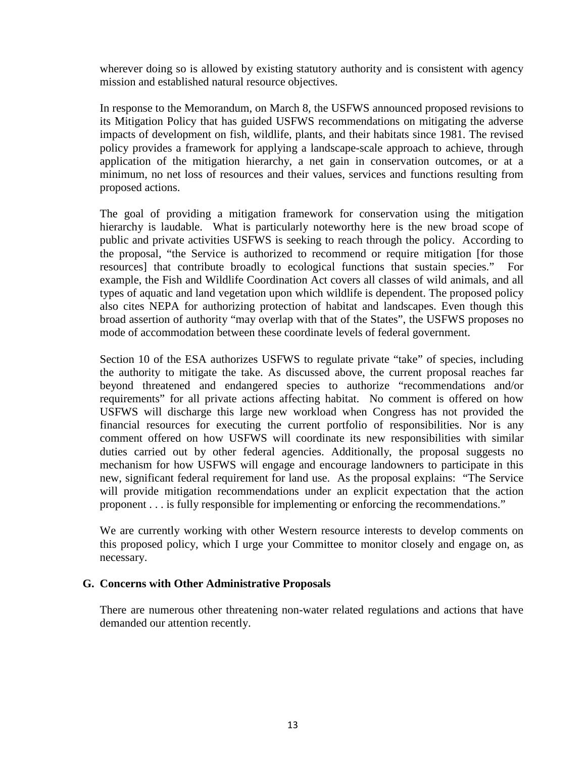wherever doing so is allowed by existing statutory authority and is consistent with agency mission and established natural resource objectives.

In response to the Memorandum, on March 8, the USFWS announced proposed revisions to its Mitigation Policy that has guided USFWS recommendations on mitigating the adverse impacts of development on fish, wildlife, plants, and their habitats since 1981. The revised policy provides a framework for applying a landscape-scale approach to achieve, through application of the mitigation hierarchy, a net gain in conservation outcomes, or at a minimum, no net loss of resources and their values, services and functions resulting from proposed actions.

The goal of providing a mitigation framework for conservation using the mitigation hierarchy is laudable. What is particularly noteworthy here is the new broad scope of public and private activities USFWS is seeking to reach through the policy. According to the proposal, "the Service is authorized to recommend or require mitigation [for those resources] that contribute broadly to ecological functions that sustain species." For example, the Fish and Wildlife Coordination Act covers all classes of wild animals, and all types of aquatic and land vegetation upon which wildlife is dependent. The proposed policy also cites NEPA for authorizing protection of habitat and landscapes. Even though this broad assertion of authority "may overlap with that of the States", the USFWS proposes no mode of accommodation between these coordinate levels of federal government.

Section 10 of the ESA authorizes USFWS to regulate private "take" of species, including the authority to mitigate the take. As discussed above, the current proposal reaches far beyond threatened and endangered species to authorize "recommendations and/or requirements" for all private actions affecting habitat. No comment is offered on how USFWS will discharge this large new workload when Congress has not provided the financial resources for executing the current portfolio of responsibilities. Nor is any comment offered on how USFWS will coordinate its new responsibilities with similar duties carried out by other federal agencies. Additionally, the proposal suggests no mechanism for how USFWS will engage and encourage landowners to participate in this new, significant federal requirement for land use. As the proposal explains: "The Service will provide mitigation recommendations under an explicit expectation that the action proponent . . . is fully responsible for implementing or enforcing the recommendations."

We are currently working with other Western resource interests to develop comments on this proposed policy, which I urge your Committee to monitor closely and engage on, as necessary.

#### **G. Concerns with Other Administrative Proposals**

There are numerous other threatening non-water related regulations and actions that have demanded our attention recently.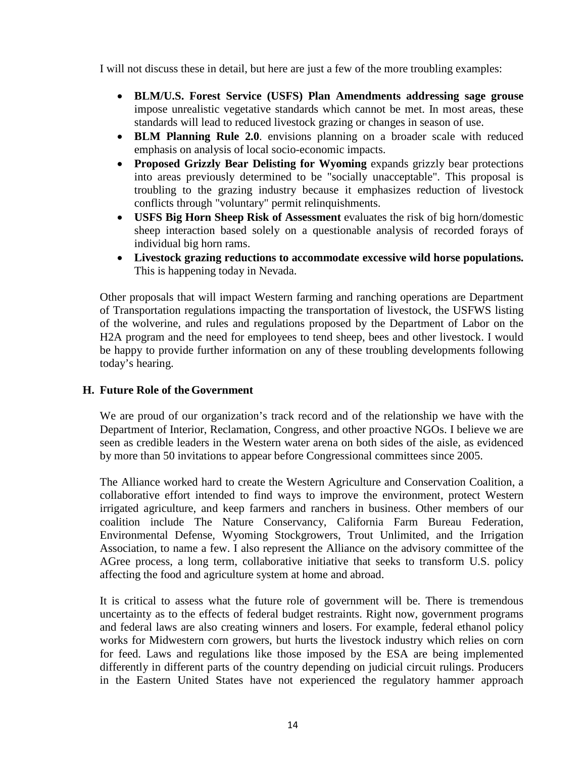I will not discuss these in detail, but here are just a few of the more troubling examples:

- **BLM/U.S. Forest Service (USFS) Plan Amendments addressing sage grouse** impose unrealistic vegetative standards which cannot be met. In most areas, these standards will lead to reduced livestock grazing or changes in season of use.
- **BLM Planning Rule 2.0**. envisions planning on a broader scale with reduced emphasis on analysis of local socio-economic impacts.
- **Proposed Grizzly Bear Delisting for Wyoming** expands grizzly bear protections into areas previously determined to be "socially unacceptable". This proposal is troubling to the grazing industry because it emphasizes reduction of livestock conflicts through "voluntary" permit relinquishments.
- **USFS Big Horn Sheep Risk of Assessment** evaluates the risk of big horn/domestic sheep interaction based solely on a questionable analysis of recorded forays of individual big horn rams.
- **Livestock grazing reductions to accommodate excessive wild horse populations.** This is happening today in Nevada.

Other proposals that will impact Western farming and ranching operations are Department of Transportation regulations impacting the transportation of livestock, the USFWS listing of the wolverine, and rules and regulations proposed by the Department of Labor on the H2A program and the need for employees to tend sheep, bees and other livestock. I would be happy to provide further information on any of these troubling developments following today's hearing.

## **H. Future Role of the Government**

We are proud of our organization's track record and of the relationship we have with the Department of Interior, Reclamation, Congress, and other proactive NGOs. I believe we are seen as credible leaders in the Western water arena on both sides of the aisle, as evidenced by more than 50 invitations to appear before Congressional committees since 2005.

The Alliance worked hard to create the Western Agriculture and Conservation Coalition, a collaborative effort intended to find ways to improve the environment, protect Western irrigated agriculture, and keep farmers and ranchers in business. Other members of our coalition include The Nature Conservancy, California Farm Bureau Federation, Environmental Defense, Wyoming Stockgrowers, Trout Unlimited, and the Irrigation Association, to name a few. I also represent the Alliance on the advisory committee of the AGree process, a long term, collaborative initiative that seeks to transform U.S. policy affecting the food and agriculture system at home and abroad.

It is critical to assess what the future role of government will be. There is tremendous uncertainty as to the effects of federal budget restraints. Right now, government programs and federal laws are also creating winners and losers. For example, federal ethanol policy works for Midwestern corn growers, but hurts the livestock industry which relies on corn for feed. Laws and regulations like those imposed by the ESA are being implemented differently in different parts of the country depending on judicial circuit rulings. Producers in the Eastern United States have not experienced the regulatory hammer approach